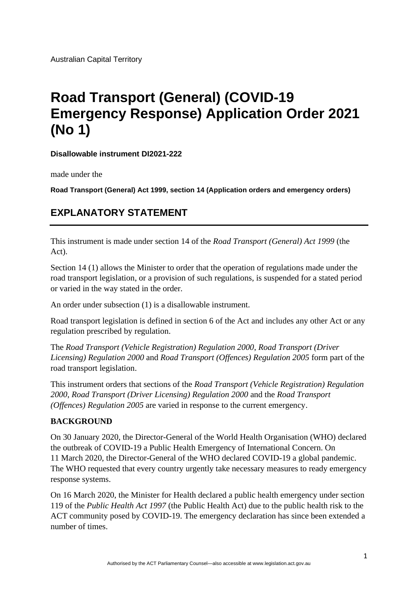Australian Capital Territory

# **Road Transport (General) (COVID-19 Emergency Response) Application Order 2021 (No 1)**

**Disallowable instrument DI2021-222**

made under the

**Road Transport (General) Act 1999, section 14 (Application orders and emergency orders)**

## **EXPLANATORY STATEMENT**

This instrument is made under section 14 of the *Road Transport (General) Act 1999* (the Act).

Section 14 (1) allows the Minister to order that the operation of regulations made under the road transport legislation, or a provision of such regulations, is suspended for a stated period or varied in the way stated in the order.

An order under subsection (1) is a disallowable instrument.

Road transport legislation is defined in section 6 of the Act and includes any other Act or any regulation prescribed by regulation.

The *Road Transport (Vehicle Registration) Regulation 2000*, *Road Transport (Driver Licensing) Regulation 2000* and *Road Transport (Offences) Regulation 2005* form part of the road transport legislation.

This instrument orders that sections of the *Road Transport (Vehicle Registration) Regulation 2000*, *Road Transport (Driver Licensing) Regulation 2000* and the *Road Transport (Offences) Regulation 2005* are varied in response to the current emergency.

#### **BACKGROUND**

On 30 January 2020, the Director-General of the World Health Organisation (WHO) declared the outbreak of COVID-19 a Public Health Emergency of International Concern. On 11 March 2020, the Director-General of the WHO declared COVID-19 a global pandemic. The WHO requested that every country urgently take necessary measures to ready emergency response systems.

On 16 March 2020, the Minister for Health declared a public health emergency under section 119 of the *Public Health Act 1997* (the Public Health Act) due to the public health risk to the ACT community posed by COVID-19. The emergency declaration has since been extended a number of times.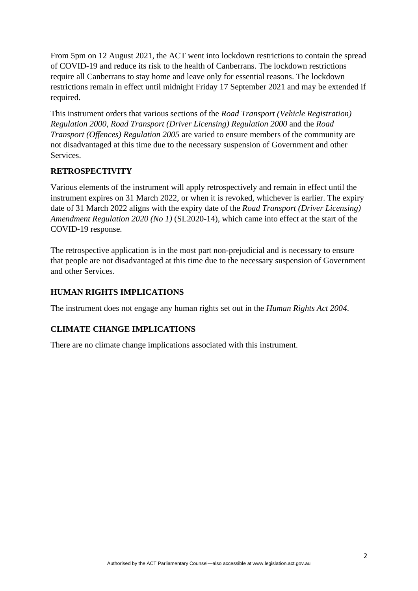From 5pm on 12 August 2021, the ACT went into lockdown restrictions to contain the spread of COVID-19 and reduce its risk to the health of Canberrans. The lockdown restrictions require all Canberrans to stay home and leave only for essential reasons. The lockdown restrictions remain in effect until midnight Friday 17 September 2021 and may be extended if required.

This instrument orders that various sections of the *Road Transport (Vehicle Registration) Regulation 2000*, *Road Transport (Driver Licensing) Regulation 2000* and the *Road Transport (Offences) Regulation 2005* are varied to ensure members of the community are not disadvantaged at this time due to the necessary suspension of Government and other Services.

#### **RETROSPECTIVITY**

Various elements of the instrument will apply retrospectively and remain in effect until the instrument expires on 31 March 2022, or when it is revoked, whichever is earlier. The expiry date of 31 March 2022 aligns with the expiry date of the *Road Transport (Driver Licensing) Amendment Regulation 2020 (No 1)* (SL2020-14), which came into effect at the start of the COVID-19 response.

The retrospective application is in the most part non-prejudicial and is necessary to ensure that people are not disadvantaged at this time due to the necessary suspension of Government and other Services.

## **HUMAN RIGHTS IMPLICATIONS**

The instrument does not engage any human rights set out in the *Human Rights Act 2004*.

## **CLIMATE CHANGE IMPLICATIONS**

There are no climate change implications associated with this instrument.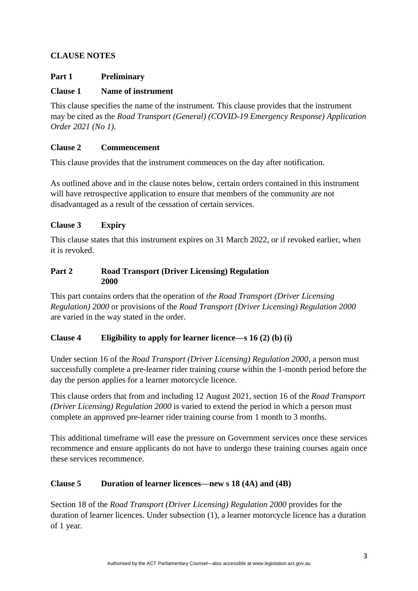## **CLAUSE NOTES**

#### **Part 1 Preliminary**

## **Clause 1 Name of instrument**

This clause specifies the name of the instrument. This clause provides that the instrument may be cited as the *Road Transport (General) (COVID-19 Emergency Response) Application Order 2021 (No 1).*

#### **Clause 2 Commencement**

This clause provides that the instrument commences on the day after notification.

As outlined above and in the clause notes below, certain orders contained in this instrument will have retrospective application to ensure that members of the community are not disadvantaged as a result of the cessation of certain services.

#### **Clause 3 Expiry**

This clause states that this instrument expires on 31 March 2022, or if revoked earlier, when it is revoked.

#### **Part 2 Road Transport (Driver Licensing) Regulation 2000**

This part contains orders that the operation of *the Road Transport (Driver Licensing Regulation) 2000* or provisions of the *Road Transport (Driver Licensing) Regulation 2000* are varied in the way stated in the order.

#### **Clause 4 Eligibility to apply for learner licence—s 16 (2) (b) (i)**

Under section 16 of the *Road Transport (Driver Licensing) Regulation 2000,* a person must successfully complete a pre-learner rider training course within the 1-month period before the day the person applies for a learner motorcycle licence.

This clause orders that from and including 12 August 2021, section 16 of the *Road Transport (Driver Licensing) Regulation 2000* is varied to extend the period in which a person must complete an approved pre-learner rider training course from 1 month to 3 months.

This additional timeframe will ease the pressure on Government services once these services recommence and ensure applicants do not have to undergo these training courses again once these services recommence.

## **Clause 5 Duration of learner licences—new s 18 (4A) and (4B)**

Section 18 of the *Road Transport (Driver Licensing) Regulation 2000* provides for the duration of learner licences. Under subsection (1), a learner motorcycle licence has a duration of 1 year.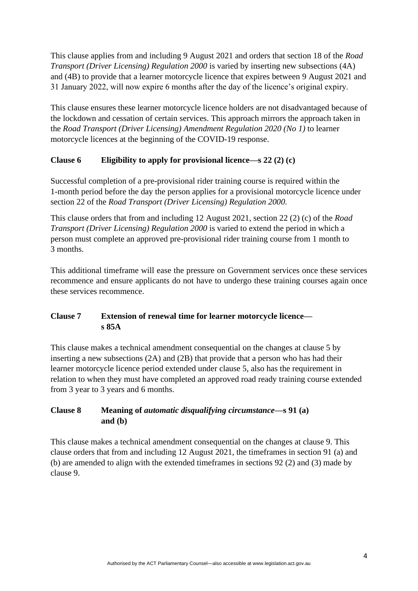This clause applies from and including 9 August 2021 and orders that section 18 of the *Road Transport (Driver Licensing) Regulation 2000* is varied by inserting new subsections (4A) and (4B) to provide that a learner motorcycle licence that expires between 9 August 2021 and 31 January 2022, will now expire 6 months after the day of the licence's original expiry.

This clause ensures these learner motorcycle licence holders are not disadvantaged because of the lockdown and cessation of certain services. This approach mirrors the approach taken in the *Road Transport (Driver Licensing) Amendment Regulation 2020 (No 1)* to learner motorcycle licences at the beginning of the COVID-19 response.

## **Clause 6 Eligibility to apply for provisional licence—s 22 (2) (c)**

Successful completion of a pre-provisional rider training course is required within the 1-month period before the day the person applies for a provisional motorcycle licence under section 22 of the *Road Transport (Driver Licensing) Regulation 2000.*

This clause orders that from and including 12 August 2021, section 22 (2) (c) of the *Road Transport (Driver Licensing) Regulation 2000* is varied to extend the period in which a person must complete an approved pre-provisional rider training course from 1 month to 3 months.

This additional timeframe will ease the pressure on Government services once these services recommence and ensure applicants do not have to undergo these training courses again once these services recommence.

#### **Clause 7 Extension of renewal time for learner motorcycle licence s 85A**

This clause makes a technical amendment consequential on the changes at clause 5 by inserting a new subsections (2A) and (2B) that provide that a person who has had their learner motorcycle licence period extended under clause 5, also has the requirement in relation to when they must have completed an approved road ready training course extended from 3 year to 3 years and 6 months.

#### **Clause 8 Meaning of** *automatic disqualifying circumstance***—s 91 (a) and (b)**

This clause makes a technical amendment consequential on the changes at clause 9. This clause orders that from and including 12 August 2021, the timeframes in section 91 (a) and (b) are amended to align with the extended timeframes in sections 92 (2) and (3) made by clause 9.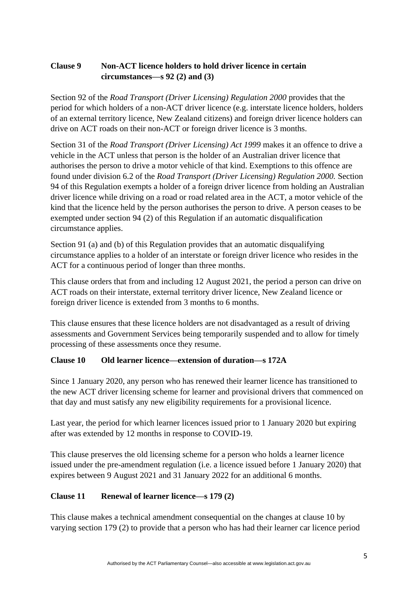## **Clause 9 Non-ACT licence holders to hold driver licence in certain circumstances—s 92 (2) and (3)**

Section 92 of the *Road Transport (Driver Licensing) Regulation 2000* provides that the period for which holders of a non-ACT driver licence (e.g. interstate licence holders, holders of an external territory licence, New Zealand citizens) and foreign driver licence holders can drive on ACT roads on their non-ACT or foreign driver licence is 3 months.

Section 31 of the *Road Transport (Driver Licensing) Act 1999* makes it an offence to drive a vehicle in the ACT unless that person is the holder of an Australian driver licence that authorises the person to drive a motor vehicle of that kind. Exemptions to this offence are found under division 6.2 of the *Road Transport (Driver Licensing) Regulation 2000.* Section 94 of this Regulation exempts a holder of a foreign driver licence from holding an Australian driver licence while driving on a road or road related area in the ACT, a motor vehicle of the kind that the licence held by the person authorises the person to drive. A person ceases to be exempted under section 94 (2) of this Regulation if an automatic disqualification circumstance applies.

Section 91 (a) and (b) of this Regulation provides that an automatic disqualifying circumstance applies to a holder of an interstate or foreign driver licence who resides in the ACT for a continuous period of longer than three months.

This clause orders that from and including 12 August 2021, the period a person can drive on ACT roads on their interstate, external territory driver licence, New Zealand licence or foreign driver licence is extended from 3 months to 6 months.

This clause ensures that these licence holders are not disadvantaged as a result of driving assessments and Government Services being temporarily suspended and to allow for timely processing of these assessments once they resume.

## **Clause 10 Old learner licence—extension of duration—s 172A**

Since 1 January 2020, any person who has renewed their learner licence has transitioned to the new ACT driver licensing scheme for learner and provisional drivers that commenced on that day and must satisfy any new eligibility requirements for a provisional licence.

Last year, the period for which learner licences issued prior to 1 January 2020 but expiring after was extended by 12 months in response to COVID-19.

This clause preserves the old licensing scheme for a person who holds a learner licence issued under the pre-amendment regulation (i.e. a licence issued before 1 January 2020) that expires between 9 August 2021 and 31 January 2022 for an additional 6 months.

## **Clause 11 Renewal of learner licence—s 179 (2)**

This clause makes a technical amendment consequential on the changes at clause 10 by varying section 179 (2) to provide that a person who has had their learner car licence period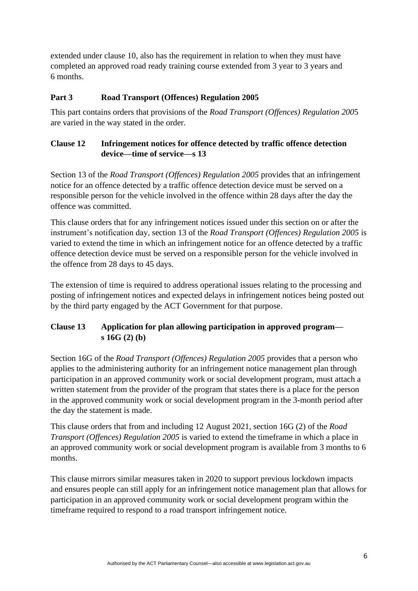extended under clause 10, also has the requirement in relation to when they must have completed an approved road ready training course extended from 3 year to 3 years and 6 months.

#### **Part 3 Road Transport (Offences) Regulation 2005**

This part contains orders that provisions of the *Road Transport (Offences) Regulation 200*5 are varied in the way stated in the order.

#### **Clause 12 Infringement notices for offence detected by traffic offence detection device—time of service—s 13**

Section 13 of the *Road Transport (Offences) Regulation 2005* provides that an infringement notice for an offence detected by a traffic offence detection device must be served on a responsible person for the vehicle involved in the offence within 28 days after the day the offence was committed.

This clause orders that for any infringement notices issued under this section on or after the instrument's notification day, section 13 of the *Road Transport (Offences) Regulation 2005* is varied to extend the time in which an infringement notice for an offence detected by a traffic offence detection device must be served on a responsible person for the vehicle involved in the offence from 28 days to 45 days.

The extension of time is required to address operational issues relating to the processing and posting of infringement notices and expected delays in infringement notices being posted out by the third party engaged by the ACT Government for that purpose.

## **Clause 13 Application for plan allowing participation in approved program s 16G (2) (b)**

Section 16G of the *Road Transport (Offences) Regulation 2005* provides that a person who applies to the administering authority for an infringement notice management plan through participation in an approved community work or social development program, must attach a written statement from the provider of the program that states there is a place for the person in the approved community work or social development program in the 3-month period after the day the statement is made.

This clause orders that from and including 12 August 2021, section 16G (2) of the *Road Transport (Offences) Regulation 2005* is varied to extend the timeframe in which a place in an approved community work or social development program is available from 3 months to 6 months.

This clause mirrors similar measures taken in 2020 to support previous lockdown impacts and ensures people can still apply for an infringement notice management plan that allows for participation in an approved community work or social development program within the timeframe required to respond to a road transport infringement notice.